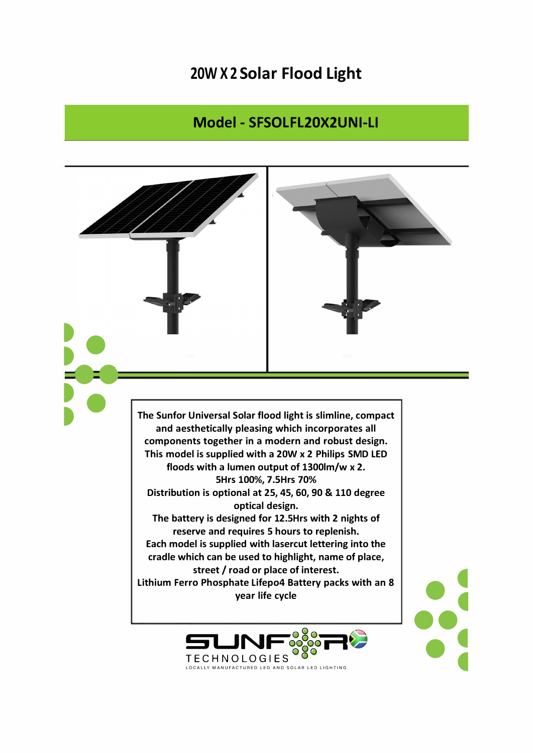## **20W X 2 Solar Flood Light**

## **Model - SFSOLFL20X2UNI-LI**



**TECHNOLOGIES TECHNOLOGIES** <sup>O</sup> O